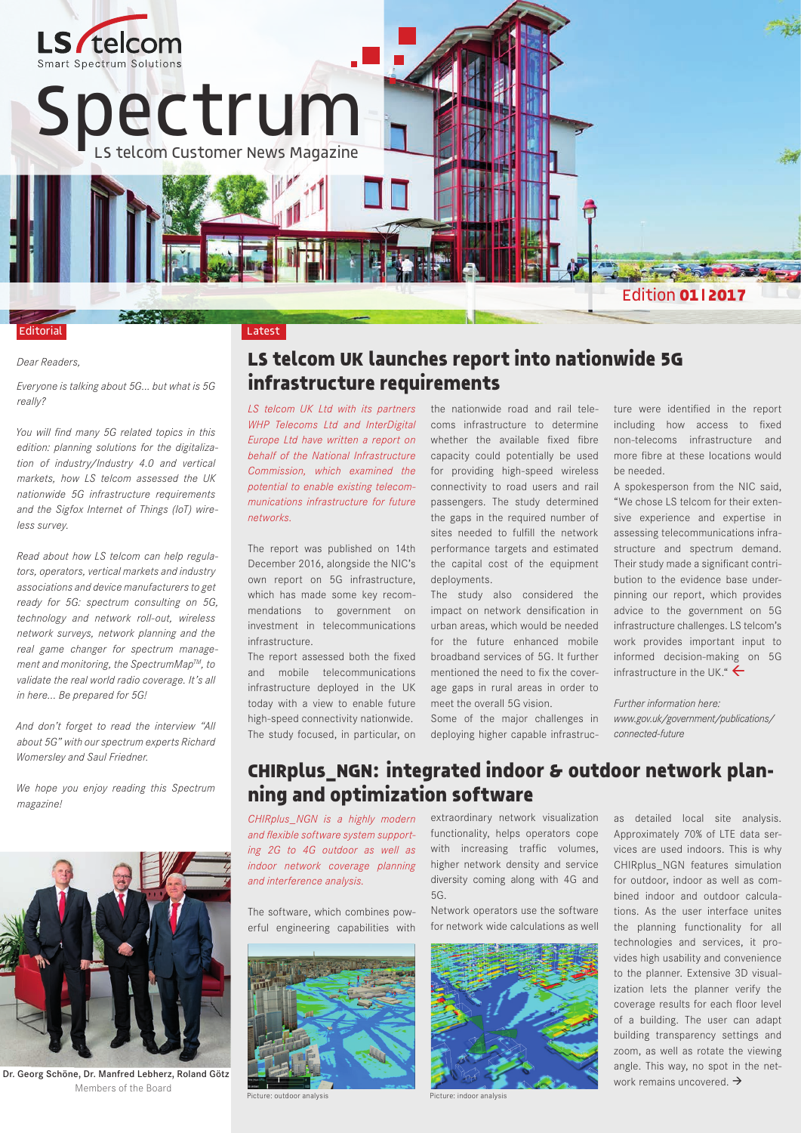

#### Latest

#### *Dear Readers,*

Editorial

*Everyone is talking about 5G... but what is 5G really?* 

*You will find many 5G related topics in this edition: planning solutions for the digitalization of industry/Industry 4.0 and vertical markets, how LS telcom assessed the UK nationwide 5G infrastructure requirements and the Sigfox Internet of Things (IoT) wireless survey.*

*Read about how LS telcom can help regulators, operators, vertical markets and industry associations and device manufacturers to get ready for 5G: spectrum consulting on 5G, technology and network roll-out, wireless network surveys, network planning and the real game changer for spectrum management and monitoring, the SpectrumMapTM, to validate the real world radio coverage. It's all in here… Be prepared for 5G!*

*And don't forget to read the interview "All about 5G" with our spectrum experts Richard Womersley and Saul Friedner.* 

*We hope you enjoy reading this Spectrum magazine!*



Dr. Georg Schöne, Dr. Manfred Lebherz, Roland Götz Members of the Board

## **LS telcom UK launches report into nationwide 5G infrastructure requirements**

*LS telcom UK Ltd with its partners WHP Telecoms Ltd and InterDigital Europe Ltd have written a report on behalf of the National Infrastructure Commission, which examined the potential to enable existing telecommunications infrastructure for future networks.* 

The report was published on 14th December 2016, alongside the NIC's own report on 5G infrastructure, which has made some key recommendations to government on investment in telecommunications infrastructure.

The report assessed both the fixed and mobile telecommunications infrastructure deployed in the UK today with a view to enable future high-speed connectivity nationwide. The study focused, in particular, on

the nationwide road and rail telecoms infrastructure to determine whether the available fixed fibre capacity could potentially be used for providing high-speed wireless connectivity to road users and rail passengers. The study determined the gaps in the required number of sites needed to fulfill the network performance targets and estimated the capital cost of the equipment deployments.

The study also considered the impact on network densification in urban areas, which would be needed for the future enhanced mobile broadband services of 5G. It further mentioned the need to fix the coverage gaps in rural areas in order to meet the overall 5G vision.

Some of the major challenges in deploying higher capable infrastructure were identified in the report including how access to fixed non-telecoms infrastructure and more fibre at these locations would be needed.

A spokesperson from the NIC said, "We chose LS telcom for their extensive experience and expertise in assessing telecommunications infrastructure and spectrum demand. Their study made a significant contribution to the evidence base underpinning our report, which provides advice to the government on 5G infrastructure challenges. LS telcom's work provides important input to informed decision-making on 5G infrastructure in the UK."  $\leftarrow$ 

*Further information here: www.gov.uk/government/publications/ connected-future*

## **CHIRplus\_NGN: integrated indoor & outdoor network planning and optimization software**

*CHIRplus\_NGN is a highly modern and flexible software system supporting 2G to 4G outdoor as well as indoor network coverage planning and interference analysis.* 

The software, which combines powerful engineering capabilities with



Picture: outdoor analysis Picture: indoor analysis

extraordinary network visualization functionality, helps operators cope with increasing traffic volumes, higher network density and service diversity coming along with 4G and 5G.

Network operators use the software for network wide calculations as well



as detailed local site analysis. Approximately 70% of LTE data services are used indoors. This is why CHIRplus\_NGN features simulation for outdoor, indoor as well as combined indoor and outdoor calculations. As the user interface unites the planning functionality for all technologies and services, it provides high usability and convenience to the planner. Extensive 3D visualization lets the planner verify the coverage results for each floor level of a building. The user can adapt building transparency settings and zoom, as well as rotate the viewing angle. This way, no spot in the network remains uncovered.  $\rightarrow$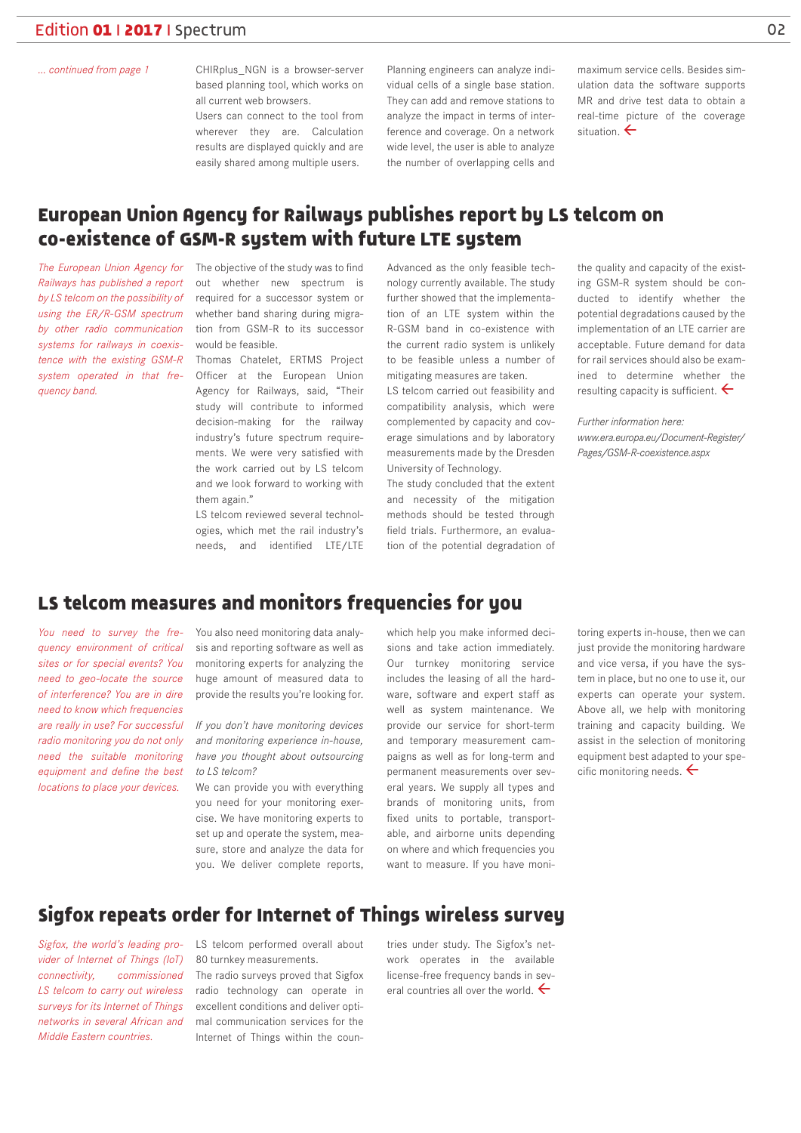#### *... continued from page 1*

CHIRplus\_NGN is a browser-server based planning tool, which works on all current web browsers.

Users can connect to the tool from wherever they are. Calculation results are displayed quickly and are easily shared among multiple users.

Planning engineers can analyze individual cells of a single base station. They can add and remove stations to analyze the impact in terms of interference and coverage. On a network wide level, the user is able to analyze the number of overlapping cells and

maximum service cells. Besides simulation data the software supports MR and drive test data to obtain a real-time picture of the coverage situation  $\leftarrow$ 

## **European Union Agency for Railways publishes report by LS telcom on co-existence of GSM-R system with future LTE system**

*Railways has published a report by LS telcom on the possibility of using the ER/R-GSM spectrum by other radio communication systems for railways in coexistence with the existing GSM-R system operated in that frequency band.* 

The European Union Agency for The objective of the study was to find out whether new spectrum is required for a successor system or whether band sharing during migration from GSM-R to its successor would be feasible.

> Thomas Chatelet, ERTMS Project Officer at the European Union Agency for Railways, said, "Their study will contribute to informed decision-making for the railway industry's future spectrum requirements. We were very satisfied with the work carried out by LS telcom and we look forward to working with them again."

LS telcom reviewed several technologies, which met the rail industry's needs, and identified LTE/LTE

Advanced as the only feasible technology currently available. The study further showed that the implementation of an LTE system within the R-GSM band in co-existence with the current radio system is unlikely to be feasible unless a number of mitigating measures are taken.

LS telcom carried out feasibility and compatibility analysis, which were complemented by capacity and coverage simulations and by laboratory measurements made by the Dresden University of Technology.

The study concluded that the extent and necessity of the mitigation methods should be tested through field trials. Furthermore, an evaluation of the potential degradation of the quality and capacity of the existing GSM-R system should be conducted to identify whether the potential degradations caused by the implementation of an LTE carrier are acceptable. Future demand for data for rail services should also be examined to determine whether the resulting capacity is sufficient.  $\leftarrow$ 

*Further information here: www.era.europa.eu/Document-Register/ Pages/GSM-R-coexistence.aspx*

# **LS telcom measures and monitors frequencies for you**

*You need to survey the frequency environment of critical sites or for special events? You need to geo-locate the source of interference? You are in dire need to know which frequencies are really in use? For successful radio monitoring you do not only need the suitable monitoring equipment and define the best locations to place your devices.*

You also need monitoring data analysis and reporting software as well as monitoring experts for analyzing the huge amount of measured data to provide the results you're looking for.

*If you don't have monitoring devices and monitoring experience in-house, have you thought about outsourcing to LS telcom?*

We can provide you with everything you need for your monitoring exercise. We have monitoring experts to set up and operate the system, measure, store and analyze the data for you. We deliver complete reports,

which help you make informed decisions and take action immediately. Our turnkey monitoring service includes the leasing of all the hardware, software and expert staff as well as system maintenance. We provide our service for short-term and temporary measurement campaigns as well as for long-term and permanent measurements over several years. We supply all types and brands of monitoring units, from fixed units to portable, transportable, and airborne units depending on where and which frequencies you want to measure. If you have monitoring experts in-house, then we can just provide the monitoring hardware and vice versa, if you have the system in place, but no one to use it, our experts can operate your system. Above all, we help with monitoring training and capacity building. We assist in the selection of monitoring equipment best adapted to your specific monitoring needs.  $\leftarrow$ 

### **Sigfox repeats order for Internet of Things wireless survey**

*Sigfox, the world's leading provider of Internet of Things (IoT) connectivity, commissioned LS telcom to carry out wireless surveys for its Internet of Things networks in several African and Middle Eastern countries.*

LS telcom performed overall about 80 turnkey measurements.

The radio surveys proved that Sigfox radio technology can operate in excellent conditions and deliver optimal communication services for the Internet of Things within the coun-

tries under study. The Sigfox's network operates in the available license-free frequency bands in several countries all over the world.  $\leftarrow$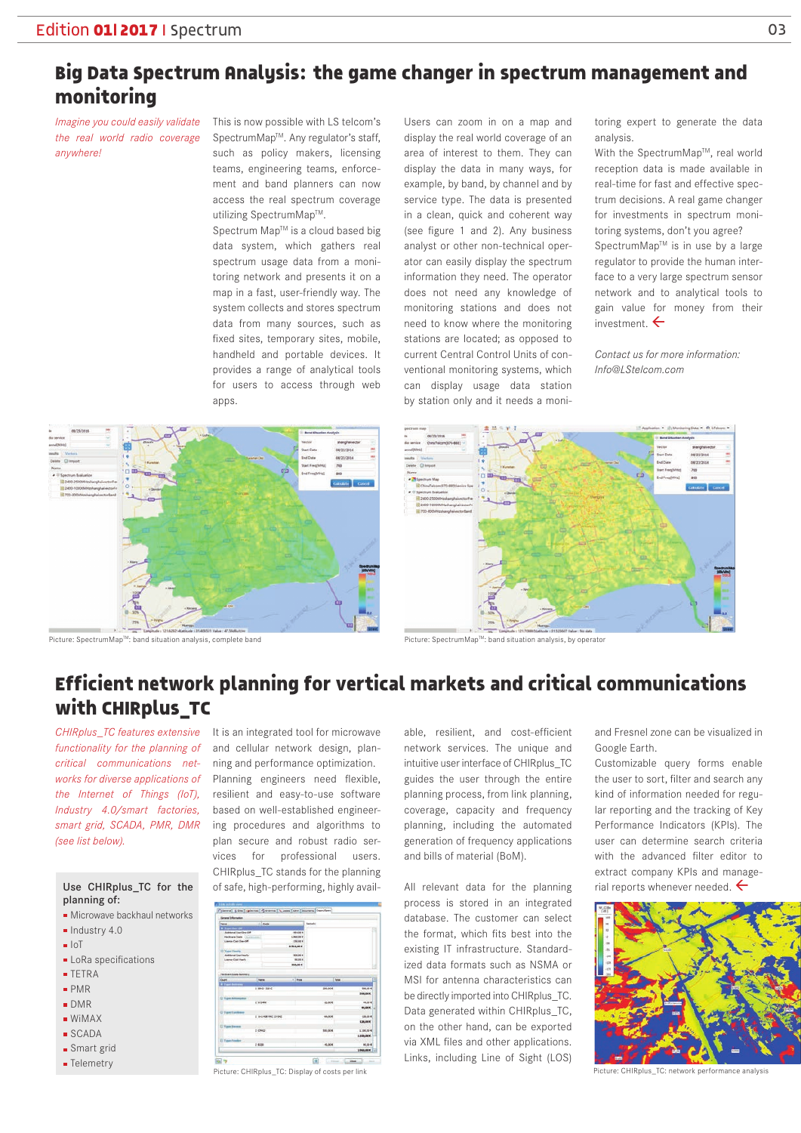# **Big Data Spectrum Analysis: the game changer in spectrum management and monitoring**

*Imagine you could easily validate the real world radio coverage anywhere!* 

This is now possible with LS telcom's SpectrumMap™. Any regulator's staff, such as policy makers, licensing teams, engineering teams, enforcement and band planners can now access the real spectrum coverage utilizing SpectrumMap™.

Spectrum Map™ is a cloud based big data system, which gathers real spectrum usage data from a monitoring network and presents it on a map in a fast, user-friendly way. The system collects and stores spectrum data from many sources, such as fixed sites, temporary sites, mobile, handheld and portable devices. It provides a range of analytical tools for users to access through web apps.

Users can zoom in on a map and display the real world coverage of an area of interest to them. They can display the data in many ways, for example, by band, by channel and by service type. The data is presented in a clean, quick and coherent way (see figure 1 and 2). Any business analyst or other non-technical operator can easily display the spectrum information they need. The operator does not need any knowledge of monitoring stations and does not need to know where the monitoring stations are located; as opposed to current Central Control Units of conventional monitoring systems, which can display usage data station by station only and it needs a monitoring expert to generate the data analysis.

With the SpectrumMap™, real world reception data is made available in real-time for fast and effective spectrum decisions. A real game changer for investments in spectrum monitoring systems, don't you agree? SpectrumMap<sup>™</sup> is in use by a large regulator to provide the human interface to a very large spectrum sensor network and to analytical tools to gain value for money from their investment  $\leftarrow$ 

*Contact us for more information: Info@LStelcom.com*





# **Efficient network planning for vertical markets and critical communications with CHIRplus\_TC**

*CHIRplus\_TC features extensive functionality for the planning of critical communications networks for diverse applications of the Internet of Things (IoT), Industry 4.0/smart factories, smart grid, SCADA, PMR, DMR (see list below).*

#### Use CHIRplus\_TC for the planning of:

- **Microwave backhaul networks**
- $\blacksquare$  Industry 4.0
- $I \circ T$
- **LoRa** specifications
- **TETRA**
- PMR
- DMR
- $WiMAX$
- SCADA
- 
- **Smart** grid
- **Telemetry**

It is an integrated tool for microwave and cellular network design, planning and performance optimization. Planning engineers need flexible, resilient and easy-to-use software based on well-established engineering procedures and algorithms to plan secure and robust radio services for professional users. CHIRplus\_TC stands for the planning of safe, high-performing, highly avail-



Picture: CHIRplus\_TC: Display of costs per link experted by the performance and performance performance and performance and performance and performance and performance and performance and performance and performance and pe

able, resilient, and cost-efficient network services. The unique and intuitive user interface of CHIRplus\_TC guides the user through the entire planning process, from link planning, coverage, capacity and frequency planning, including the automated generation of frequency applications and bills of material (BoM).

All relevant data for the planning process is stored in an integrated database. The customer can select the format, which fits best into the existing IT infrastructure. Standardized data formats such as NSMA or MSI for antenna characteristics can be directly imported into CHIRplus\_TC. Data generated within CHIRplus\_TC, on the other hand, can be exported via XML files and other applications. Links, including Line of Sight (LOS) and Fresnel zone can be visualized in Google Earth.

Customizable query forms enable the user to sort, filter and search any kind of information needed for regular reporting and the tracking of Key Performance Indicators (KPIs). The user can determine search criteria with the advanced filter editor to extract company KPIs and managerial reports whenever needed.  $\leftarrow$